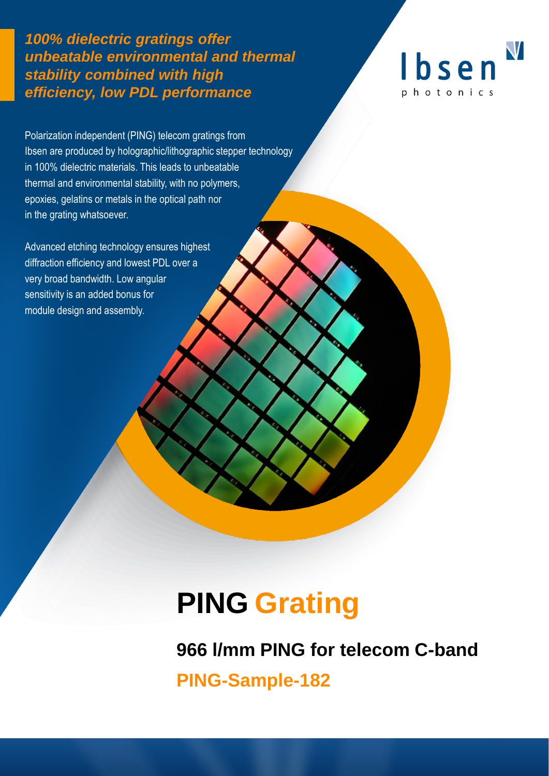*100% dielectric gratings offer unbeatable environmental and thermal stability combined with high efficiency, low PDL performance*



Polarization independent (PING) telecom gratings from Ibsen are produced by holographic/lithographic stepper technology in 100% dielectric materials. This leads to unbeatable thermal and environmental stability, with no polymers, epoxies, gelatins or metals in the optical path nor in the grating whatsoever.

Advanced etching technology ensures highest diffraction efficiency and lowest PDL over a very broad bandwidth. Low angular sensitivity is an added bonus for module design and assembly.

# **PING Grating**

**966 l/mm PING for telecom C-band** 

**PING-Sample-182**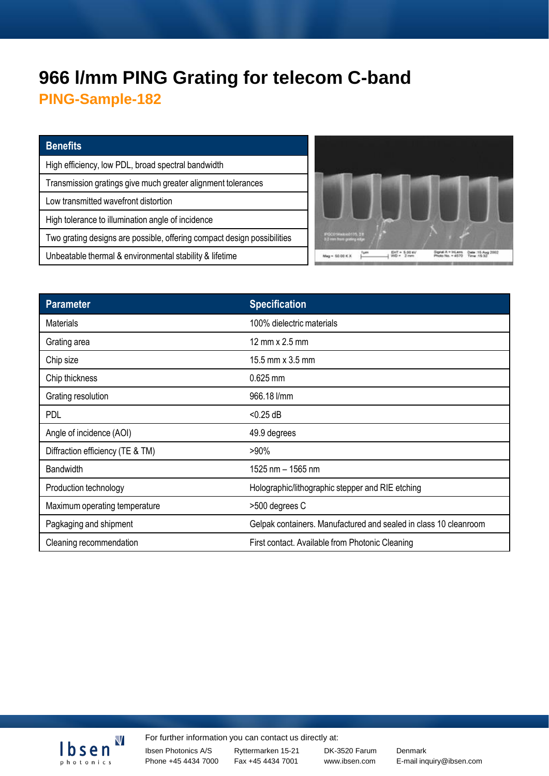# **966 l/mm PING Grating for telecom C-band**

**PING-Sample-182**

#### **Benefits**

High efficiency, low PDL, broad spectral bandwidth Transmission gratings give much greater alignment tolerances Low transmitted wavefront distortion High tolerance to illumination angle of incidence Two grating designs are possible, offering compact design possibilities Unbeatable thermal & environmental stability & lifetime



| <b>Parameter</b>                 | <b>Specification</b>                                             |
|----------------------------------|------------------------------------------------------------------|
| <b>Materials</b>                 | 100% dielectric materials                                        |
| Grating area                     | 12 mm $\times$ 2.5 mm                                            |
| Chip size                        | 15.5 mm x 3.5 mm                                                 |
| Chip thickness                   | 0.625 mm                                                         |
| Grating resolution               | 966.18 l/mm                                                      |
| <b>PDL</b>                       | $<$ 0.25 dB                                                      |
| Angle of incidence (AOI)         | 49.9 degrees                                                     |
| Diffraction efficiency (TE & TM) | $>90\%$                                                          |
| <b>Bandwidth</b>                 | 1525 nm - 1565 nm                                                |
| Production technology            | Holographic/lithographic stepper and RIE etching                 |
| Maximum operating temperature    | >500 degrees C                                                   |
| Pagkaging and shipment           | Gelpak containers. Manufactured and sealed in class 10 cleanroom |
| Cleaning recommendation          | First contact. Available from Photonic Cleaning                  |



For further information you can contact us directly at:

Ibsen Photonics A/S Phone +45 4434 7000

Ryttermarken 15-21 Fax +45 4434 7001

DK-3520 Farum Denmark

www.ibsen.com E-mail inquiry@ibsen.com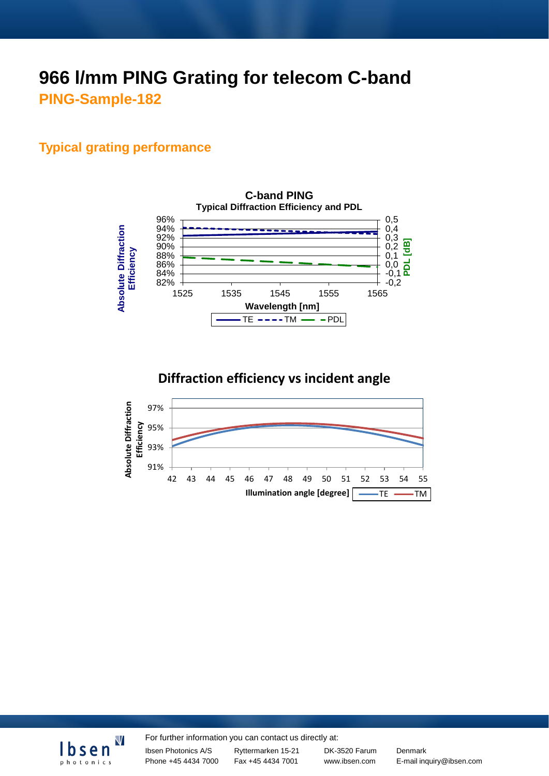# **966 l/mm PING Grating for telecom C-band PING-Sample-182**

#### **Typical grating performance**





### **Diffraction efficiency vs incident angle**





For further information you can contact us directly at:

Ibsen Photonics A/S Phone +45 4434 7000 Ryttermarken 15-21 Fax +45 4434 7001

DK-3520 Farum Denmark

www.ibsen.com E-mail inquiry@ibsen.com